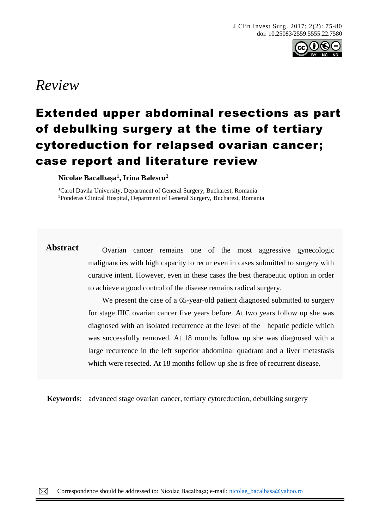

# *Review*

# Extended upper abdominal resections as part of debulking surgery at the time of tertiary cytoreduction for relapsed ovarian cancer; case report and literature review

**Nicolae Bacalbașa 1 , Irina Balescu<sup>2</sup>**

<sup>1</sup>Carol Davila University, Department of General Surgery, Bucharest, Romania <sup>2</sup>Ponderas Clinical Hospital, Department of General Surgery, Bucharest, Romania

**Abstract** Ovarian cancer remains one of the most aggressive gynecologic malignancies with high capacity to recur even in cases submitted to surgery with curative intent. However, even in these cases the best therapeutic option in order to achieve a good control of the disease remains radical surgery.

> We present the case of a 65-year-old patient diagnosed submitted to surgery for stage IIIC ovarian cancer five years before. At two years follow up she was diagnosed with an isolated recurrence at the level of the hepatic pedicle which was successfully removed. At 18 months follow up she was diagnosed with a large recurrence in the left superior abdominal quadrant and a liver metastasis which were resected. At 18 months follow up she is free of recurrent disease.

**Keywords**: advanced stage ovarian cancer, tertiary cytoreduction, debulking surgery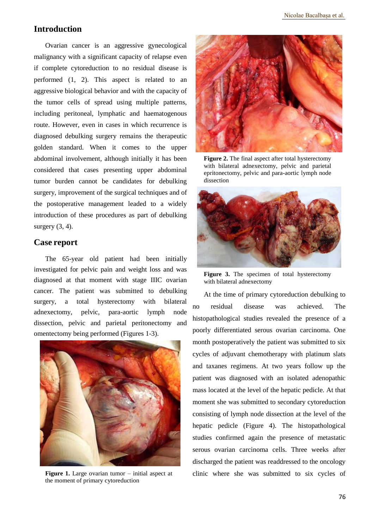## **Introduction**

Ovarian cancer is an aggressive gynecological malignancy with a significant capacity of relapse even if complete cytoreduction to no residual disease is performed (1, 2). This aspect is related to an aggressive biological behavior and with the capacity of the tumor cells of spread using multiple patterns, including peritoneal, lymphatic and haematogenous route. However, even in cases in which recurrence is diagnosed debulking surgery remains the therapeutic golden standard. When it comes to the upper abdominal involvement, although initially it has been considered that cases presenting upper abdominal tumor burden cannot be candidates for debulking surgery, improvement of the surgical techniques and of the postoperative management leaded to a widely introduction of these procedures as part of debulking surgery  $(3, 4)$ .

### **Case report**

The 65-year old patient had been initially investigated for pelvic pain and weight loss and was diagnosed at that moment with stage IIIC ovarian cancer. The patient was submitted to debulking surgery, a total hysterectomy with bilateral adnexectomy, pelvic, para-aortic lymph node dissection, pelvic and parietal peritonectomy and omentectomy being performed (Figures 1-3).



**Figure 1.** Large ovarian tumor – initial aspect at the moment of primary cytoreduction



**Figure 2.** The final aspect after total hysterectomy with bilateral adnexectomy, pelvic and parietal epritonectomy, pelvic and para-aortic lymph node dissection



**Figure 3.** The specimen of total hysterectomy with bilateral adnexectomy

At the time of primary cytoreduction debulking to no residual disease was achieved. The histopathological studies revealed the presence of a poorly differentiated serous ovarian carcinoma. One month postoperatively the patient was submitted to six cycles of adjuvant chemotherapy with platinum slats and taxanes regimens. At two years follow up the patient was diagnosed with an isolated adenopathic mass located at the level of the hepatic pedicle. At that moment she was submitted to secondary cytoreduction consisting of lymph node dissection at the level of the hepatic pedicle (Figure 4). The histopathological studies confirmed again the presence of metastatic serous ovarian carcinoma cells. Three weeks after discharged the patient was readdressed to the oncology clinic where she was submitted to six cycles of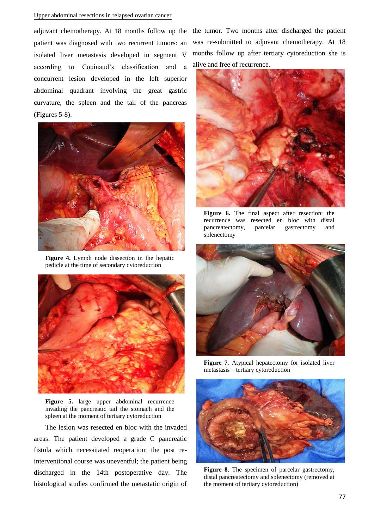#### Upper abdominal resections in relapsed ovarian cancer

adjuvant chemotherapy. At 18 months follow up the patient was diagnosed with two recurrent tumors: an isolated liver metastasis developed in segment V according to Couinaud's classification and a concurrent lesion developed in the left superior abdominal quadrant involving the great gastric curvature, the spleen and the tail of the pancreas (Figures 5-8).



**Figure 4.** Lymph node dissection in the hepatic pedicle at the time of secondary cytoreduction



**Figure 5.** large upper abdominal recurrence invading the pancreatic tail the stomach and the spleen at the moment of tertiary cytoreduction

The lesion was resected en bloc with the invaded areas. The patient developed a grade C pancreatic fistula which necessitated reoperation; the post reinterventional course was uneventful; the patient being discharged in the 14th postoperative day. The histological studies confirmed the metastatic origin of

the tumor. Two months after discharged the patient was re-submitted to adjuvant chemotherapy. At 18 months follow up after tertiary cytoreduction she is alive and free of recurrence.



**Figure 6.** The final aspect after resection: the recurrence was resected en bloc with distal pancreatectomy, parcelar gastrectomy and splenectomy



**Figure 7**. Atypical hepatectomy for isolated liver metastasis – tertiary cytoreduction



**Figure 8**. The specimen of parcelar gastrectomy, distal pancreatectomy and splenectomy (removed at the moment of tertiary cytoreduction)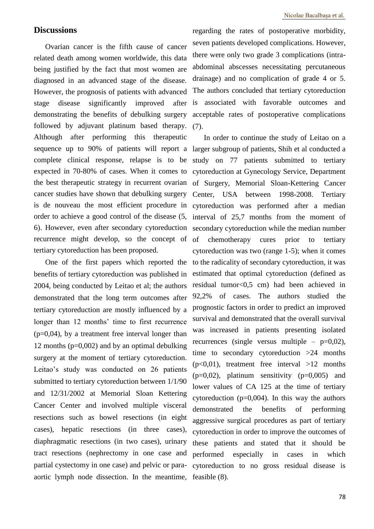### **Discussions**

Ovarian cancer is the fifth cause of cancer related death among women worldwide, this data being justified by the fact that most women are diagnosed in an advanced stage of the disease. However, the prognosis of patients with advanced stage disease significantly improved after demonstrating the benefits of debulking surgery followed by adjuvant platinum based therapy. (7). Although after performing this therapeutic complete clinical response, relapse is to be recurrence might develop, so the concept of of tertiary cytoreduction has been proposed.

One of the first papers which reported the benefits of tertiary cytoreduction was published in 2004, being conducted by Leitao et al; the authors demonstrated that the long term outcomes after tertiary cytoreduction are mostly influenced by a longer than 12 months' time to first recurrence  $(p=0.04)$ , by a treatment free interval longer than 12 months ( $p=0.002$ ) and by an optimal debulking surgery at the moment of tertiary cytoreduction. Leitao's study was conducted on 26 patients submitted to tertiary cytoreduction between 1/1/90 and 12/31/2002 at Memorial Sloan Kettering Cancer Center and involved multiple visceral resections such as bowel resections (in eight cases), hepatic resections (in three cases), diaphragmatic resections (in two cases), urinary tract resections (nephrectomy in one case and partial cystectomy in one case) and pelvic or paraaortic lymph node dissection. In the meantime,

regarding the rates of postoperative morbidity, seven patients developed complications. However, there were only two grade 3 complications (intraabdominal abscesses necessitating percutaneous drainage) and no complication of grade 4 or 5. The authors concluded that tertiary cytoreduction is associated with favorable outcomes and acceptable rates of postoperative complications

sequence up to 90% of patients will report a larger subgroup of patients, Shih et al conducted a expected in 70-80% of cases. When it comes to cytoreduction at Gynecology Service, Department the best therapeutic strategy in recurrent ovarian of Surgery, Memorial Sloan-Kettering Cancer cancer studies have shown that debulking surgery Center, USA between 1998-2008. Tertiary is de nouveau the most efficient procedure in cytoreduction was performed after a median order to achieve a good control of the disease (5, interval of 25,7 months from the moment of 6). However, even after secondary cytoreduction secondary cytoreduction while the median number In order to continue the study of Leitao on a study on 77 patients submitted to tertiary chemotherapy cures prior to tertiary cytoreduction was two (range 1-5); when it comes to the radicality of secondary cytoreduction, it was estimated that optimal cytoreduction (defined as residual tumor<0,5 cm) had been achieved in 92,2% of cases. The authors studied the prognostic factors in order to predict an improved survival and demonstrated that the overall survival was increased in patients presenting isolated recurrences (single versus multiple –  $p=0.02$ ), time to secondary cytoreduction  $>24$  months  $(p<0.01)$ , treatment free interval  $>12$  months  $(p=0.02)$ , platinum sensitivity  $(p=0.005)$  and lower values of CA 125 at the time of tertiary cytoreduction  $(p=0,004)$ . In this way the authors demonstrated the benefits of performing aggressive surgical procedures as part of tertiary cytoreduction in order to improve the outcomes of these patients and stated that it should be performed especially in cases in which cytoreduction to no gross residual disease is feasible (8).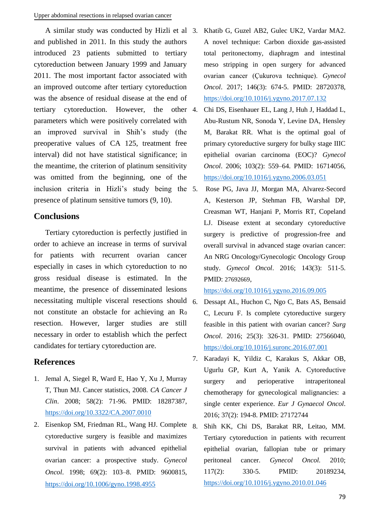A similar study was conducted by Hizli et al and published in 2011. In this study the authors introduced 23 patients submitted to tertiary cytoreduction between January 1999 and January 2011. The most important factor associated with an improved outcome after tertiary cytoreduction was the absence of residual disease at the end of tertiary cytoreduction. However, the other 4. parameters which were positively correlated with an improved survival in Shih's study (the preoperative values of CA 125, treatment free interval) did not have statistical significance; in the meantime, the criterion of platinum sensitivity was omitted from the beginning, one of the inclusion criteria in Hizli's study being the 5. presence of platinum sensitive tumors (9, 10).

## **Conclusions**

Tertiary cytoreduction is perfectly justified in order to achieve an increase in terms of survival for patients with recurrent ovarian cancer especially in cases in which cytoreduction to no gross residual disease is estimated. In the meantime, the presence of disseminated lesions necessitating multiple visceral resections should  $6$ . not constitute an obstacle for achieving an  $R_0$ resection. However, larger studies are still necessary in order to establish which the perfect candidates for tertiary cytoreduction are.

## **References**

- 1. Jemal A, Siegel R, Ward E, Hao Y, Xu J, Murray T, Thun MJ. Cancer statistics, 2008. *CA Cancer J Clin*. 2008; 58(2): 71-96. PMID: 18287387, <https://doi.org/10.3322/CA.2007.0010>
- 2. Eisenkop SM, Friedman RL, Wang HJ. Complete cytoreductive surgery is feasible and maximizes survival in patients with advanced epithelial ovarian cancer: a prospective study. *Gynecol Oncol*. 1998; 69(2): 103–8. PMID: 9600815, <https://doi.org/10.1006/gyno.1998.4955>
- 3. Khatib G, Guzel AB2, Gulec UK2, Vardar MA2. A novel technique: Carbon dioxide gas-assisted total peritonectomy, diaphragm and intestinal meso stripping in open surgery for advanced ovarian cancer (Çukurova technique). *Gynecol Oncol*. 2017; 146(3): 674-5. PMID: 28720378, <https://doi.org/10.1016/j.ygyno.2017.07.132>
- 4. Chi DS, Eisenhauer EL, Lang J, Huh J, Haddad L, Abu-Rustum NR, Sonoda Y, Levine DA, Hensley M, Barakat RR. What is the optimal goal of primary cytoreductive surgery for bulky stage IIIC epithelial ovarian carcinoma (EOC)? *Gynecol Oncol*. 2006; 103(2): 559–64. PMID: 16714056, <https://doi.org/10.1016/j.ygyno.2006.03.051>
- 5. Rose PG, Java JJ, Morgan MA, Alvarez-Secord A, Kesterson JP, Stehman FB, Warshal DP, Creasman WT, Hanjani P, Morris RT, Copeland LJ. Disease extent at secondary cytoreductive surgery is predictive of progression-free and overall survival in advanced stage ovarian cancer: An NRG Oncology/Gynecologic Oncology Group study. *Gynecol Oncol*. 2016; 143(3): 511-5. PMID: 27692669,

<https://doi.org/10.1016/j.ygyno.2016.09.005>

- 6. Dessapt AL, Huchon C, Ngo C, Bats AS, Bensaid C, Lecuru F. Is complete cytoreductive surgery feasible in this patient with ovarian cancer? *Surg Oncol*. 2016; 25(3): 326-31. PMID: 27566040, <https://doi.org/10.1016/j.suronc.2016.07.001>
- 7. Karadayi K, Yildiz C, Karakus S, Akkar OB, Ugurlu GP, Kurt A, Yanik A. Cytoreductive surgery and perioperative intraperitoneal chemotherapy for gynecological malignancies: a single center experience. *Eur J Gynaecol Oncol*. 2016; 37(2): 194-8. PMID: 27172744
- 8. Shih KK, Chi DS, Barakat RR, Leitao, MM. Tertiary cytoreduction in patients with recurrent epithelial ovarian, fallopian tube or primary peritoneal cancer. *Gynecol Oncol.* 2010; 117(2): 330-5. PMID: 20189234, <https://doi.org/10.1016/j.ygyno.2010.01.046>